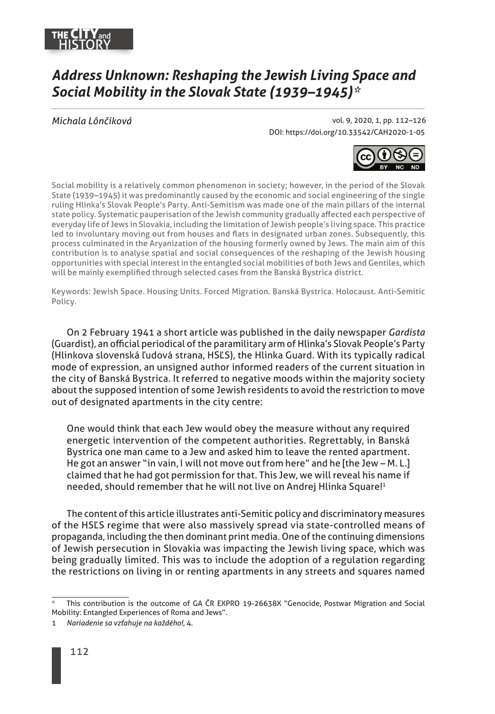

# *Address Unknown: Reshaping the Jewish Living Space and Social Mobility in the Slovak State (1939–1945)\**

## *Michala Lônčíková*

vol. 9, 2020, 1, pp. 112–126 DOI: https://doi.org/10.33542/CAH2020-1-05



Social mobility is a relatively common phenomenon in society; however, in the period of the Slovak State (1939–1945) it was predominantly caused by the economic and social engineering of the single ruling Hlinka's Slovak People's Party. Anti-Semitism was made one of the main pillars of the internal state policy. Systematic pauperisation of the Jewish community gradually affected each perspective of everyday life of Jews in Slovakia, including the limitation of Jewish people's living space. This practice led to involuntary moving out from houses and flats in designated urban zones. Subsequently, this process culminated in the Aryanization of the housing formerly owned by Jews. The main aim of this contribution is to analyse spatial and social consequences of the reshaping of the Jewish housing opportunities with special interest in the entangled social mobilities of both Jews and Gentiles, which will be mainly exemplified through selected cases from the Banská Bystrica district.

Keywords: Jewish Space. Housing Units. Forced Migration. Banská Bystrica. Holocaust. Anti-Semitic Policy.

On 2 February 1941 a short article was published in the daily newspaper *Gardista* (Guardist), an official periodical of the paramilitary arm of Hlinka's Slovak People's Party (Hlinkova slovenská ľudová strana, HSĽS), the Hlinka Guard. With its typically radical mode of expression, an unsigned author informed readers of the current situation in the city of Banská Bystrica. It referred to negative moods within the majority society about the supposed intention of some Jewish residents to avoid the restriction to move out of designated apartments in the city centre:

One would think that each Jew would obey the measure without any required energetic intervention of the competent authorities. Regrettably, in Banská Bystrica one man came to a Jew and asked him to leave the rented apartment. He got an answer "in vain, I will not move out from here" and he [the Jew – M. L.] claimed that he had got permission for that. This Jew, we will reveal his name if needed, should remember that he will not live on Andrej Hlinka Square!<sup>1</sup>

The content of this article illustrates anti-Semitic policy and discriminatory measures of the HSĽS regime that were also massively spread via state-controlled means of propaganda, including the then dominant print media. One of the continuing dimensions of Jewish persecution in Slovakia was impacting the Jewish living space, which was being gradually limited. This was to include the adoption of a regulation regarding the restrictions on living in or renting apartments in any streets and squares named

This contribution is the outcome of GA ČR EXPRO 19-26638X "Genocide, Postwar Migration and Social Mobility: Entangled Experiences of Roma and Jews".

<sup>1</sup> *Nariadenie sa vzťahuje na každého!*, 4.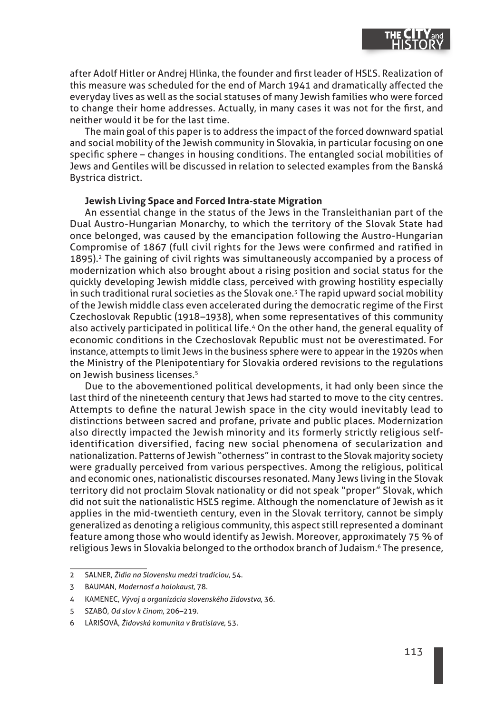

after Adolf Hitler or Andrej Hlinka, the founder and first leader of HSĽS. Realization of this measure was scheduled for the end of March 1941 and dramatically affected the everyday lives as well as the social statuses of many Jewish families who were forced to change their home addresses. Actually, in many cases it was not for the first, and neither would it be for the last time.

The main goal of this paper is to address the impact of the forced downward spatial and social mobility of the Jewish community in Slovakia, in particular focusing on one specific sphere – changes in housing conditions. The entangled social mobilities of Jews and Gentiles will be discussed in relation to selected examples from the Banská Bystrica district.

## **Jewish Living Space and Forced Intra-state Migration**

An essential change in the status of the Jews in the Transleithanian part of the Dual Austro-Hungarian Monarchy, to which the territory of the Slovak State had once belonged, was caused by the emancipation following the Austro-Hungarian Compromise of 1867 (full civil rights for the Jews were confirmed and ratified in 1895).2 The gaining of civil rights was simultaneously accompanied by a process of modernization which also brought about a rising position and social status for the quickly developing Jewish middle class, perceived with growing hostility especially in such traditional rural societies as the Slovak one.3 The rapid upward social mobility of the Jewish middle class even accelerated during the democratic regime of the First Czechoslovak Republic (1918–1938), when some representatives of this community also actively participated in political life.<sup>4</sup> On the other hand, the general equality of economic conditions in the Czechoslovak Republic must not be overestimated. For instance, attempts to limit Jews in the business sphere were to appear in the 1920s when the Ministry of the Plenipotentiary for Slovakia ordered revisions to the regulations on Jewish business licenses.<sup>5</sup>

Due to the abovementioned political developments, it had only been since the last third of the nineteenth century that Jews had started to move to the city centres. Attempts to define the natural Jewish space in the city would inevitably lead to distinctions between sacred and profane, private and public places. Modernization also directly impacted the Jewish minority and its formerly strictly religious selfidentification diversified, facing new social phenomena of secularization and nationalization. Patterns of Jewish "otherness" in contrast to the Slovak majority society were gradually perceived from various perspectives. Among the religious, political and economic ones, nationalistic discourses resonated. Many Jews living in the Slovak territory did not proclaim Slovak nationality or did not speak "proper" Slovak, which did not suit the nationalistic HSĽS regime. Although the nomenclature of Jewish as it applies in the mid-twentieth century, even in the Slovak territory, cannot be simply generalized as denoting a religious community, this aspect still represented a dominant feature among those who would identify as Jewish. Moreover, approximately 75 % of religious Jews in Slovakia belonged to the orthodox branch of Judaism.<sup>6</sup> The presence,

<sup>2</sup> SALNER, *Židia na Slovensku medzi tradíciou*, 54.

<sup>3</sup> BAUMAN, *Modernosť a holokaust*, 78.

<sup>4</sup> KAMENEC, *Vývoj a organizácia slovenského židovstva*, 36.

<sup>5</sup> SZABÓ, *Od slov k činom*, 206–219.

<sup>6</sup> LÁRIŠOVÁ, *Židovská komunita v Bratislave*, 53.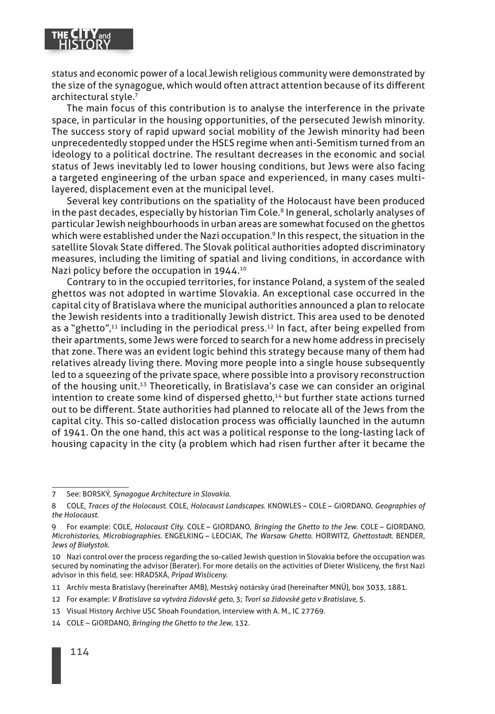

status and economic power of a local Jewish religious community were demonstrated by the size of the synagogue, which would often attract attention because of its different architectural style.<sup>7</sup>

The main focus of this contribution is to analyse the interference in the private space, in particular in the housing opportunities, of the persecuted Jewish minority. The success story of rapid upward social mobility of the Jewish minority had been unprecedentedly stopped under the HSĽS regime when anti-Semitism turned from an ideology to a political doctrine. The resultant decreases in the economic and social status of Jews inevitably led to lower housing conditions, but Jews were also facing a targeted engineering of the urban space and experienced, in many cases multilayered, displacement even at the municipal level.

Several key contributions on the spatiality of the Holocaust have been produced in the past decades, especially by historian Tim Cole.<sup>8</sup> In general, scholarly analyses of particular Jewish neighbourhoods in urban areas are somewhat focused on the ghettos which were established under the Nazi occupation.<sup>9</sup> In this respect, the situation in the satellite Slovak State differed. The Slovak political authorities adopted discriminatory measures, including the limiting of spatial and living conditions, in accordance with Nazi policy before the occupation in 1944.10

Contrary to in the occupied territories, for instance Poland, a system of the sealed ghettos was not adopted in wartime Slovakia. An exceptional case occurred in the capital city of Bratislava where the municipal authorities announced a plan to relocate the Jewish residents into a traditionally Jewish district. This area used to be denoted as a "ghetto",<sup>11</sup> including in the periodical press.<sup>12</sup> In fact, after being expelled from their apartments, some Jews were forced to search for a new home address in precisely that zone. There was an evident logic behind this strategy because many of them had relatives already living there. Moving more people into a single house subsequently led to a squeezing of the private space, where possible into a provisory reconstruction of the housing unit.13 Theoretically, in Bratislava's case we can consider an original intention to create some kind of dispersed ghetto,<sup>14</sup> but further state actions turned out to be different. State authorities had planned to relocate all of the Jews from the capital city. This so-called dislocation process was officially launched in the autumn of 1941. On the one hand, this act was a political response to the long-lasting lack of housing capacity in the city (a problem which had risen further after it became the

<sup>7</sup> See: BORSKÝ, *Synagogue Architecture in Slovakia*.

<sup>8</sup> COLE, *Traces of the Holocaust*. COLE, *Holocaust Landscapes*. KNOWLES – COLE – GIORDANO, *Geographies of the Holocaust*.

<sup>9</sup> For example: COLE, *Holocaust City*. COLE – GIORDANO, *Bringing the Ghetto to the Jew*. COLE – GIORDANO, *Microhistories*, *Microbiographies.* ENGELKING – LEOCIAK, *The Warsaw Ghetto*. HORWITZ, *Ghettostadt*. BENDER, *Jews of Białystok*.

<sup>10</sup> Nazi control over the process regarding the so-called Jewish question in Slovakia before the occupation was secured by nominating the advisor (Berater). For more details on the activities of Dieter Wisliceny, the first Nazi advisor in this field, see: HRADSKÁ, Prípad Wisliceny.

<sup>11</sup> Archív mesta Bratislavy (hereinafter AMB), Mestský notársky úrad (hereinafter MNÚ), box 3033, 1881.

<sup>12</sup> For example: *V Bratislave sa vytvára židovské geto*, 3; *Tvorí sa židovské geto v Bratislave*, 5.

<sup>13</sup> Visual History Archive USC Shoah Foundation, interview with A. M., IC 27769.

<sup>14</sup> COLE – GIORDANO, *Bringing the Ghetto to the Jew*, 132.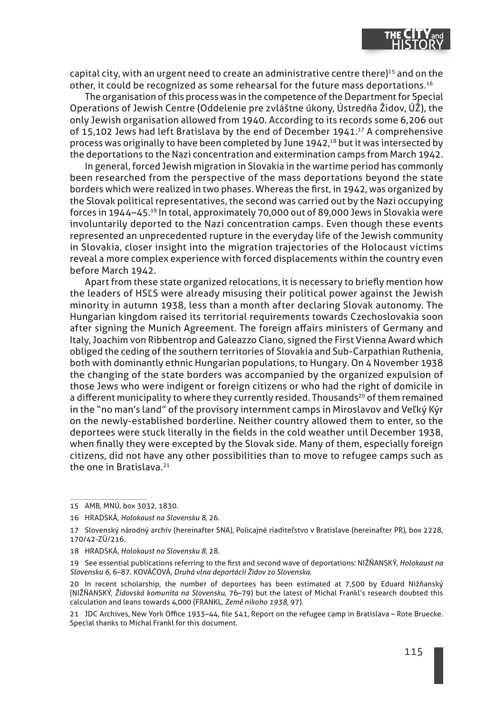capital city, with an urgent need to create an administrative centre there)<sup>15</sup> and on the other, it could be recognized as some rehearsal for the future mass deportations.<sup>16</sup>

The organisation of this process was in the competence of the Department for Special Operations of Jewish Centre (Oddelenie pre zvláštne úkony, Ústredňa Židov, ÚŽ), the only Jewish organisation allowed from 1940. According to its records some 6,206 out of 15,102 Jews had left Bratislava by the end of December 1941.17 A comprehensive process was originally to have been completed by June  $1942<sub>1</sub>^{18}$  but it was intersected by the deportations to the Nazi concentration and extermination camps from March 1942.

In general, forced Jewish migration in Slovakia in the wartime period has commonly been researched from the perspective of the mass deportations beyond the state borders which were realized in two phases. Whereas the first, in 1942, was organized by the Slovak political representatives, the second was carried out by the Nazi occupying forces in 1944–45.19 In total, approximately 70,000 out of 89,000 Jews in Slovakia were involuntarily deported to the Nazi concentration camps. Even though these events represented an unprecedented rupture in the everyday life of the Jewish community in Slovakia, closer insight into the migration trajectories of the Holocaust victims reveal a more complex experience with forced displacements within the country even before March 1942.

Apart from these state organized relocations, it is necessary to briefly mention how the leaders of HSĽS were already misusing their political power against the Jewish minority in autumn 1938, less than a month after declaring Slovak autonomy. The Hungarian kingdom raised its territorial requirements towards Czechoslovakia soon after signing the Munich Agreement. The foreign affairs ministers of Germany and Italy, Joachim von Ribbentrop and Galeazzo Ciano, signed the First Vienna Award which obliged the ceding of the southern territories of Slovakia and Sub-Carpathian Ruthenia, both with dominantly ethnic Hungarian populations, to Hungary. On 4 November 1938 the changing of the state borders was accompanied by the organized expulsion of those Jews who were indigent or foreign citizens or who had the right of domicile in a different municipality to where they currently resided. Thousands<sup>20</sup> of them remained in the "no man's land" of the provisory internment camps in Miroslavov and Veľký Kýr on the newly-established borderline. Neither country allowed them to enter, so the deportees were stuck literally in the fields in the cold weather until December 1938, when finally they were excepted by the Slovak side. Many of them, especially foreign citizens, did not have any other possibilities than to move to refugee camps such as the one in Bratislava.<sup>21</sup>

<sup>15</sup> AMB, MNÚ, box 3032, 1830.

<sup>16</sup> HRADSKÁ, *Holokaust na Slovensku 8*, 26.

<sup>17</sup> Slovenský národný archív (hereinafter SNA), Policajné riaditeľstvo v Bratislave (hereinafter PR), box 2228, 170/42-ZÚ/216.

<sup>18</sup> HRADSKÁ, *Holokaust na Slovensku 8*, 28.

<sup>19</sup> See essential publications referring to the first and second wave of deportations: NIŽŇANSKÝ, *Holokaust na Slovensku 6*, 6–87. KOVÁČOVÁ, *Druhá vlna deportácií Židov zo Slovenska*.

<sup>20</sup> In recent scholarship, the number of deportees has been estimated at 7,500 by Eduard Nižňanský (NIŽŇANSKÝ, *Židovská komunita na Slovensku*, 76–79) but the latest of Michal Frankl's research doubted this calculation and leans towards 4,000 (FRANKL, *Země nikoho 1938*, 97).

<sup>21</sup> JDC Archives, New York Office 1933-44, file 541, Report on the refugee camp in Bratislava - Rote Bruecke. Special thanks to Michal Frankl for this document.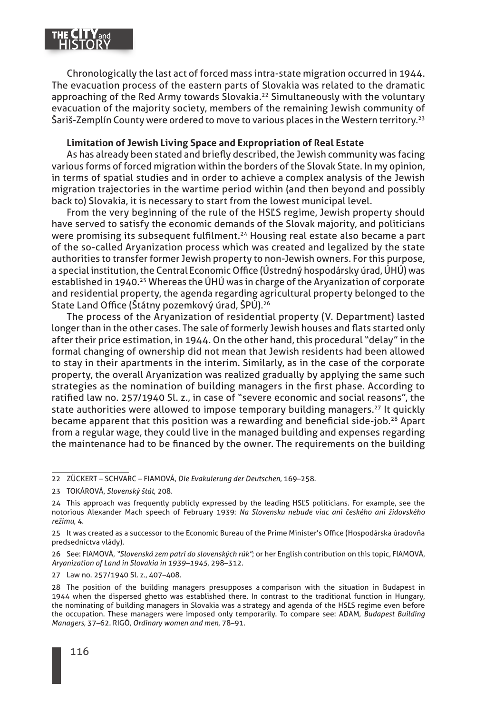

Chronologically the last act of forced mass intra-state migration occurred in 1944. The evacuation process of the eastern parts of Slovakia was related to the dramatic approaching of the Red Army towards Slovakia.<sup>22</sup> Simultaneously with the voluntary evacuation of the majority society, members of the remaining Jewish community of Šariš-Zemplín County were ordered to move to various places in the Western territory.23

## **Limitation of Jewish Living Space and Expropriation of Real Estate**

As has already been stated and briefly described, the Jewish community was facing various forms of forced migration within the borders of the Slovak State. In my opinion, in terms of spatial studies and in order to achieve a complex analysis of the Jewish migration trajectories in the wartime period within (and then beyond and possibly back to) Slovakia, it is necessary to start from the lowest municipal level.

From the very beginning of the rule of the HSĽS regime, Jewish property should have served to satisfy the economic demands of the Slovak majority, and politicians were promising its subsequent fulfilment.<sup>24</sup> Housing real estate also became a part of the so-called Aryanization process which was created and legalized by the state authorities to transfer former Jewish property to non-Jewish owners. For this purpose, a special institution, the Central Economic Office (Ústredný hospodársky úrad, ÚHÚ) was established in 1940.<sup>25</sup> Whereas the ÚHÚ was in charge of the Aryanization of corporate and residential property, the agenda regarding agricultural property belonged to the State Land Office (Štátny pozemkový úrad, ŠPÚ).<sup>26</sup>

The process of the Aryanization of residential property (V. Department) lasted longer than in the other cases. The sale of formerly Jewish houses and flats started only after their price estimation, in 1944. On the other hand, this procedural "delay" in the formal changing of ownership did not mean that Jewish residents had been allowed to stay in their apartments in the interim. Similarly, as in the case of the corporate property, the overall Aryanization was realized gradually by applying the same such strategies as the nomination of building managers in the first phase. According to ratified law no. 257/1940 Sl. z., in case of "severe economic and social reasons", the state authorities were allowed to impose temporary building managers.<sup>27</sup> It quickly became apparent that this position was a rewarding and beneficial side-job.<sup>28</sup> Apart from a regular wage, they could live in the managed building and expenses regarding the maintenance had to be financed by the owner. The requirements on the building

<sup>22</sup> ZÜCKERT – SCHVARC – FIAMOVÁ, *Die Evakuierung der Deutschen*, 169–258.

<sup>23</sup> TOKÁROVÁ, *Slovenský štát*, 208.

<sup>24</sup> This approach was frequently publicly expressed by the leading HSĽS politicians. For example, see the notorious Alexander Mach speech of February 1939: *Na Slovensku nebude viac ani českého ani židovského režimu*, 4.

<sup>25</sup> It was created as a successor to the Economic Bureau of the Prime Minister's Office (Hospodárska úradovňa predsedníctva vlády).

<sup>26</sup> See: FIAMOVÁ, *"Slovenská zem patrí do slovenských rúk"*; or her English contribution on this topic, FIAMOVÁ, *Aryanization of Land in Slovakia in 1939–1945*, 298–312.

<sup>27</sup> Law no. 257/1940 Sl. z., 407–408.

<sup>28</sup> The position of the building managers presupposes a comparison with the situation in Budapest in 1944 when the dispersed ghetto was established there. In contrast to the traditional function in Hungary, the nominating of building managers in Slovakia was a strategy and agenda of the HSĽS regime even before the occupation. These managers were imposed only temporarily. To compare see: ADAM, *Budapest Building Managers*, 37–62. RIGÓ, *Ordinary women and men*, 78–91.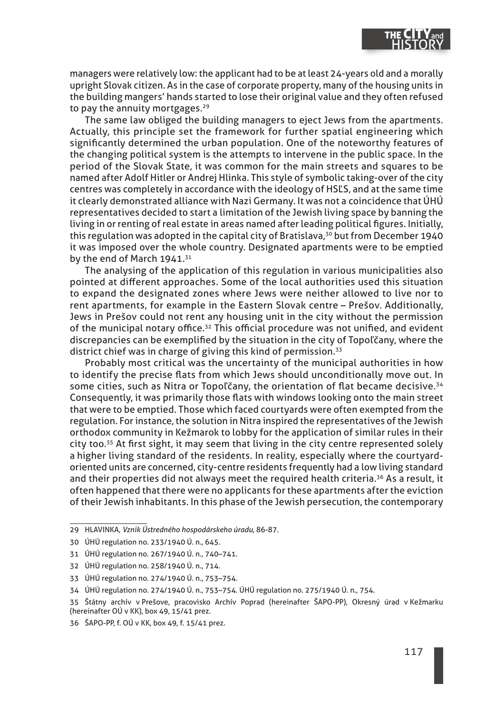

managers were relatively low: the applicant had to be at least 24-years old and a morally upright Slovak citizen. As in the case of corporate property, many of the housing units in the building mangers' hands started to lose their original value and they often refused to pay the annuity mortgages.<sup>29</sup>

The same law obliged the building managers to eject Jews from the apartments. Actually, this principle set the framework for further spatial engineering which significantly determined the urban population. One of the noteworthy features of the changing political system is the attempts to intervene in the public space. In the period of the Slovak State, it was common for the main streets and squares to be named after Adolf Hitler or Andrej Hlinka. This style of symbolic taking-over of the city centres was completely in accordance with the ideology of HSĽS, and at the same time it clearly demonstrated alliance with Nazi Germany. It was not a coincidence that ÚHÚ representatives decided to start a limitation of the Jewish living space by banning the living in or renting of real estate in areas named after leading political figures. Initially, this regulation was adopted in the capital city of Bratislava,<sup>30</sup> but from December 1940 it was imposed over the whole country. Designated apartments were to be emptied by the end of March 1941.<sup>31</sup>

The analysing of the application of this regulation in various municipalities also pointed at different approaches. Some of the local authorities used this situation to expand the designated zones where Jews were neither allowed to live nor to rent apartments, for example in the Eastern Slovak centre – Prešov. Additionally, Jews in Prešov could not rent any housing unit in the city without the permission of the municipal notary office.<sup>32</sup> This official procedure was not unified, and evident discrepancies can be exemplified by the situation in the city of Topoľčany, where the district chief was in charge of giving this kind of permission.<sup>33</sup>

Probably most critical was the uncertainty of the municipal authorities in how to identify the precise flats from which Jews should unconditionally move out. In some cities, such as Nitra or Topoľčany, the orientation of flat became decisive. $34$ Consequently, it was primarily those flats with windows looking onto the main street that were to be emptied. Those which faced courtyards were often exempted from the regulation. For instance, the solution in Nitra inspired the representatives of the Jewish orthodox community in Kežmarok to lobby for the application of similar rules in their city too.<sup>35</sup> At first sight, it may seem that living in the city centre represented solely a higher living standard of the residents. In reality, especially where the courtyardoriented units are concerned, city-centre residents frequently had a low living standard and their properties did not always meet the required health criteria.<sup>36</sup> As a result, it often happened that there were no applicants for these apartments after the eviction of their Jewish inhabitants. In this phase of the Jewish persecution, the contemporary

<sup>29</sup> HLAVINKA, *Vznik Ústredného hospodárskeho úradu*, 86-87.

<sup>30</sup> ÚHÚ regulation no. 233/1940 Ú. n., 645.

<sup>31</sup> ÚHÚ regulation no. 267/1940 Ú. n., 740–741.

<sup>32</sup> ÚHÚ regulation no. 258/1940 Ú. n., 714.

<sup>33</sup> ÚHÚ regulation no. 274/1940 Ú. n., 753–754.

<sup>34</sup> ÚHÚ regulation no. 274/1940 Ú. n., 753–754. ÚHÚ regulation no. 275/1940 Ú. n., 754.

<sup>35</sup> Štátny archív v Prešove, pracovisko Archív Poprad (hereinafter ŠAPO-PP), Okresný úrad v Kežmarku (hereinafter OÚ v KK), box 49, 15/41 prez.

<sup>36</sup> ŠAPO-PP, f. OÚ v KK, box 49, f. 15/41 prez.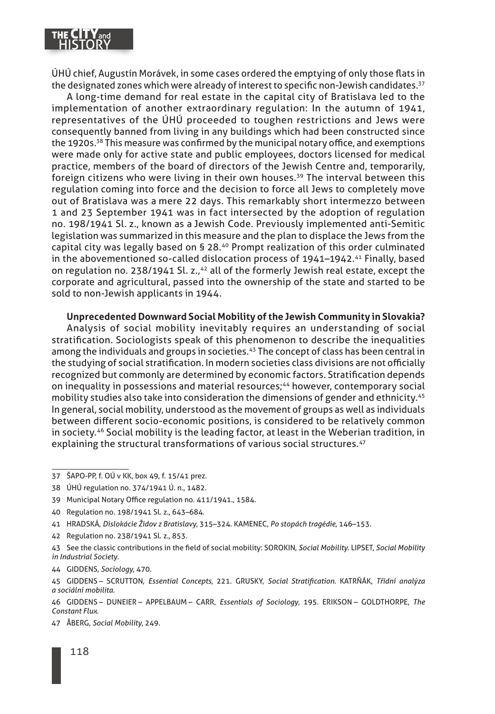

ÚHÚ chief, Augustín Morávek, in some cases ordered the emptying of only those flats in the designated zones which were already of interest to specific non-Jewish candidates.<sup>37</sup>

A long-time demand for real estate in the capital city of Bratislava led to the implementation of another extraordinary regulation: In the autumn of 1941, representatives of the ÚHÚ proceeded to toughen restrictions and Jews were consequently banned from living in any buildings which had been constructed since the 1920s.<sup>38</sup> This measure was confirmed by the municipal notary office, and exemptions were made only for active state and public employees, doctors licensed for medical practice, members of the board of directors of the Jewish Centre and, temporarily, foreign citizens who were living in their own houses.<sup>39</sup> The interval between this regulation coming into force and the decision to force all Jews to completely move out of Bratislava was a mere 22 days. This remarkably short intermezzo between 1 and 23 September 1941 was in fact intersected by the adoption of regulation no. 198/1941 Sl. z., known as a Jewish Code. Previously implemented anti-Semitic legislation was summarized in this measure and the plan to displace the Jews from the capital city was legally based on § 28.40 Prompt realization of this order culminated in the abovementioned so-called dislocation process of 1941-1942.<sup>41</sup> Finally, based on regulation no. 238/1941 Sl. z.,<sup>42</sup> all of the formerly Jewish real estate, except the corporate and agricultural, passed into the ownership of the state and started to be sold to non-Jewish applicants in 1944.

**Unprecedented Downward Social Mobility of the Jewish Community in Slovakia?**

Analysis of social mobility inevitably requires an understanding of social stratification. Sociologists speak of this phenomenon to describe the inequalities among the individuals and groups in societies.<sup>43</sup> The concept of class has been central in the studying of social stratification. In modern societies class divisions are not officially recognized but commonly are determined by economic factors. Stratification depends on inequality in possessions and material resources;<sup>44</sup> however, contemporary social mobility studies also take into consideration the dimensions of gender and ethnicity.<sup>45</sup> In general, social mobility, understood as the movement of groups as well as individuals between different socio-economic positions, is considered to be relatively common in society.<sup>46</sup> Social mobility is the leading factor, at least in the Weberian tradition, in explaining the structural transformations of various social structures.<sup>47</sup>

- 37 ŠAPO-PP, f. OÚ v KK, box 49, f. 15/41 prez.
- 38 ÚHÚ regulation no. 374/1941 Ú. n., 1482.
- 39 Municipal Notary Office regulation no. 411/1941., 1584.
- 40 Regulation no. 198/1941 Sl. z., 643–684.
- 41 HRADSKÁ, *Dislokácie Židov z Bratislavy*, 315–324. KAMENEC, *Po stopách tragédie*, 146–153.
- 42 Regulation no. 238/1941 Sl. z., 853.

44 GIDDENS, *Sociology*, 470.

45 GIDDENS – SCRUTTON, *Essential Concepts*, 221. GRUSKY, *Social Stratifi cation*. KATRŇÁK, *Třídní analýza a sociální mobilita*.

46 GIDDENS – DUNEIER – APPELBAUM – CARR, *Essentials of Sociology*, 195. ERIKSON – GOLDTHORPE, *The Constant Flux*.

47 ÅBERG, *Social Mobility*, 249.

<sup>43</sup> See the classic contributions in the field of social mobility: SOROKIN, Social Mobility. LIPSET, Social Mobility *in Industrial Society*.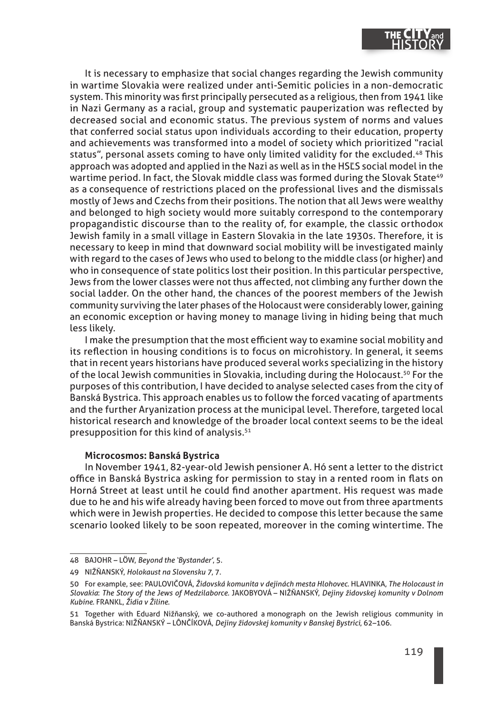It is necessary to emphasize that social changes regarding the Jewish community in wartime Slovakia were realized under anti-Semitic policies in a non-democratic system. This minority was first principally persecuted as a religious, then from 1941 like in Nazi Germany as a racial, group and systematic pauperization was reflected by decreased social and economic status. The previous system of norms and values that conferred social status upon individuals according to their education, property and achievements was transformed into a model of society which prioritized "racial status", personal assets coming to have only limited validity for the excluded.48 This approach was adopted and applied in the Nazi as well as in the HSĽS social model in the wartime period. In fact, the Slovak middle class was formed during the Slovak State<sup>49</sup> as a consequence of restrictions placed on the professional lives and the dismissals mostly of Jews and Czechs from their positions. The notion that all Jews were wealthy and belonged to high society would more suitably correspond to the contemporary propagandistic discourse than to the reality of, for example, the classic orthodox Jewish family in a small village in Eastern Slovakia in the late 1930s. Therefore, it is necessary to keep in mind that downward social mobility will be investigated mainly with regard to the cases of Jews who used to belong to the middle class (or higher) and who in consequence of state politics lost their position. In this particular perspective, Jews from the lower classes were not thus affected, not climbing any further down the social ladder. On the other hand, the chances of the poorest members of the Jewish community surviving the later phases of the Holocaust were considerably lower, gaining an economic exception or having money to manage living in hiding being that much less likely.

I make the presumption that the most efficient way to examine social mobility and its reflection in housing conditions is to focus on microhistory. In general, it seems that in recent years historians have produced several works specializing in the history of the local Jewish communities in Slovakia, including during the Holocaust.50 For the purposes of this contribution, I have decided to analyse selected cases from the city of Banská Bystrica. This approach enables us to follow the forced vacating of apartments and the further Aryanization process at the municipal level. Therefore, targeted local historical research and knowledge of the broader local context seems to be the ideal presupposition for this kind of analysis.<sup>51</sup>

## **Microcosmos: Banská Bystrica**

In November 1941, 82-year-old Jewish pensioner A. Hó sent a letter to the district office in Banská Bystrica asking for permission to stay in a rented room in flats on Horná Street at least until he could find another apartment. His request was made due to he and his wife already having been forced to move out from three apartments which were in Jewish properties. He decided to compose this letter because the same scenario looked likely to be soon repeated, moreover in the coming wintertime. The

<sup>48</sup> BAJOHR – LÖW, *Beyond the 'Bystander'*, 5.

<sup>49</sup> NIŽŇANSKÝ, *Holokaust na Slovensku 7*, 7.

<sup>50</sup> For example, see: PAULOVIČOVÁ, *Židovská komunita v dejinách mesta Hlohovec*. HLAVINKA, *The Holocaust in Slovakia*: *The Story of the Jews of Medzilaborce*. JAKOBYOVÁ – NIŽŇANSKÝ, *Dejiny židovskej komunity v Dolnom Kubíne*. FRANKL, *Židia v Žiline*.

<sup>51</sup> Together with Eduard Nižňanský, we co-authored a monograph on the Jewish religious community in Banská Bystrica: NIŽŇANSKÝ – LÔNČÍKOVÁ, *Dejiny židovskej komunity v Banskej Bystrici*, 62–106.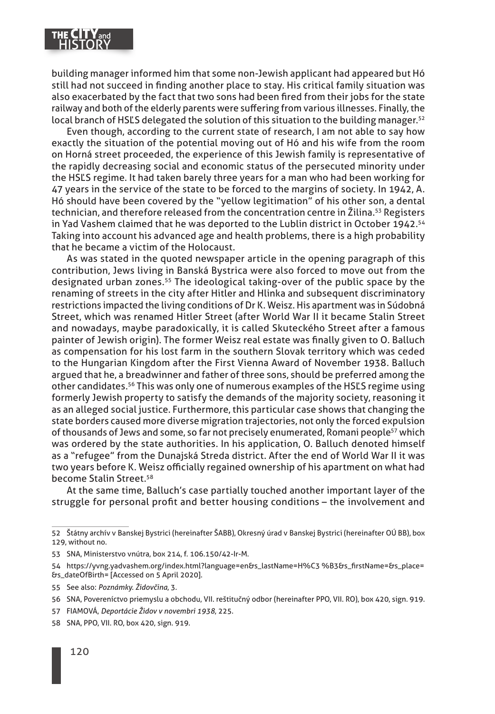

building manager informed him that some non-Jewish applicant had appeared but Hó still had not succeed in finding another place to stay. His critical family situation was also exacerbated by the fact that two sons had been fired from their jobs for the state railway and both of the elderly parents were suffering from various illnesses. Finally, the local branch of HSĽS delegated the solution of this situation to the building manager.<sup>52</sup>

Even though, according to the current state of research, I am not able to say how exactly the situation of the potential moving out of Hó and his wife from the room on Horná street proceeded, the experience of this Jewish family is representative of the rapidly decreasing social and economic status of the persecuted minority under the HSĽS regime. It had taken barely three years for a man who had been working for 47 years in the service of the state to be forced to the margins of society. In 1942, A. Hó should have been covered by the "yellow legitimation" of his other son, a dental technician, and therefore released from the concentration centre in Žilina.<sup>53</sup> Registers in Yad Vashem claimed that he was deported to the Lublin district in October 1942.<sup>54</sup> Taking into account his advanced age and health problems, there is a high probability that he became a victim of the Holocaust.

As was stated in the quoted newspaper article in the opening paragraph of this contribution, Jews living in Banská Bystrica were also forced to move out from the designated urban zones.55 The ideological taking-over of the public space by the renaming of streets in the city after Hitler and Hlinka and subsequent discriminatory restrictions impacted the living conditions of Dr K. Weisz. His apartment was in Súdobná Street, which was renamed Hitler Street (after World War II it became Stalin Street and nowadays, maybe paradoxically, it is called Skuteckého Street after a famous painter of Jewish origin). The former Weisz real estate was finally given to O. Balluch as compensation for his lost farm in the southern Slovak territory which was ceded to the Hungarian Kingdom after the First Vienna Award of November 1938. Balluch argued that he, a breadwinner and father of three sons, should be preferred among the other candidates.<sup>56</sup> This was only one of numerous examples of the HSĽS regime using formerly Jewish property to satisfy the demands of the majority society, reasoning it as an alleged social justice. Furthermore, this particular case shows that changing the state borders caused more diverse migration trajectories, not only the forced expulsion of thousands of Jews and some, so far not precisely enumerated, Romani people<sup>57</sup> which was ordered by the state authorities. In his application, O. Balluch denoted himself as a "refugee" from the Dunajská Streda district. After the end of World War II it was two years before K. Weisz officially regained ownership of his apartment on what had become Stalin Street.58

At the same time, Balluch's case partially touched another important layer of the struggle for personal profit and better housing conditions - the involvement and

<sup>52</sup> Štátny archív v Banskej Bystrici (hereinafter ŠABB), Okresný úrad v Banskej Bystrici (hereinafter OÚ BB), box 129, without no.

<sup>53</sup> SNA, Ministerstvo vnútra, box 214, f. 106.150/42-Ir-M.

<sup>54</sup> https://yvng.yadvashem.org/index.html?language=en&s\_lastName=H%C3 %B3&s\_firstName=&s\_place= &s\_dateOfBirth= [Accessed on 5 April 2020].

<sup>55</sup> See also: *Poznámky. Židovčina*, 3.

<sup>56</sup> SNA, Povereníctvo priemyslu a obchodu, VII. reštitučný odbor (hereinafter PPO, VII. RO), box 420, sign. 919.

<sup>57</sup> FIAMOVÁ, *Deportácie Židov v novembri 1938*, 225.

<sup>58</sup> SNA, PPO, VII. RO, box 420, sign. 919.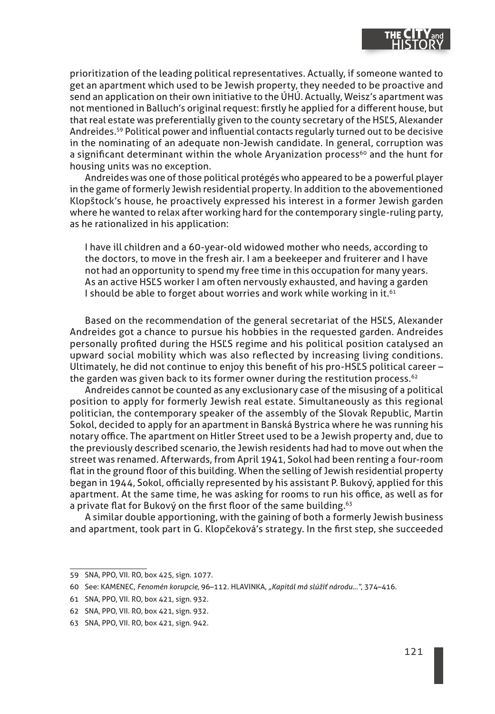

prioritization of the leading political representatives. Actually, if someone wanted to get an apartment which used to be Jewish property, they needed to be proactive and send an application on their own initiative to the ÚHÚ. Actually, Weisz's apartment was not mentioned in Balluch's original request: firstly he applied for a different house, but that real estate was preferentially given to the county secretary of the HSĽS, Alexander Andreides.<sup>59</sup> Political power and influential contacts regularly turned out to be decisive in the nominating of an adequate non-Jewish candidate. In general, corruption was a significant determinant within the whole Aryanization process<sup>60</sup> and the hunt for housing units was no exception.

Andreides was one of those political protégés who appeared to be a powerful player in the game of formerly Jewish residential property. In addition to the abovementioned Klopštock's house, he proactively expressed his interest in a former Jewish garden where he wanted to relax after working hard for the contemporary single-ruling party, as he rationalized in his application:

I have ill children and a 60-year-old widowed mother who needs, according to the doctors, to move in the fresh air. I am a beekeeper and fruiterer and I have not had an opportunity to spend my free time in this occupation for many years. As an active HSĽS worker I am often nervously exhausted, and having a garden I should be able to forget about worries and work while working in it.<sup>61</sup>

Based on the recommendation of the general secretariat of the HSĽS, Alexander Andreides got a chance to pursue his hobbies in the requested garden. Andreides personally profited during the HSĽS regime and his political position catalysed an upward social mobility which was also reflected by increasing living conditions. Ultimately, he did not continue to enjoy this benefit of his pro-HSLS political career the garden was given back to its former owner during the restitution process.<sup>62</sup>

Andreides cannot be counted as any exclusionary case of the misusing of a political position to apply for formerly Jewish real estate. Simultaneously as this regional politician, the contemporary speaker of the assembly of the Slovak Republic, Martin Sokol, decided to apply for an apartment in Banská Bystrica where he was running his notary office. The apartment on Hitler Street used to be a Jewish property and, due to the previously described scenario, the Jewish residents had had to move out when the street was renamed. Afterwards, from April 1941, Sokol had been renting a four-room flat in the ground floor of this building. When the selling of Jewish residential property began in 1944, Sokol, officially represented by his assistant P. Bukový, applied for this apartment. At the same time, he was asking for rooms to run his office, as well as for a private flat for Bukový on the first floor of the same building.<sup>63</sup>

A similar double apportioning, with the gaining of both a formerly Jewish business and apartment, took part in G. Klopčeková's strategy. In the first step, she succeeded

<sup>59</sup> SNA, PPO, VII. RO, box 425, sign. 1077.

<sup>60</sup> See: KAMENEC, *Fenomén korupcie*, 96–112. HLAVINKA, *"Kapitál má slúžiť národu..."*, 374–416.

<sup>61</sup> SNA, PPO, VII. RO, box 421, sign. 932.

<sup>62</sup> SNA, PPO, VII. RO, box 421, sign. 932.

<sup>63</sup> SNA, PPO, VII. RO, box 421, sign. 942.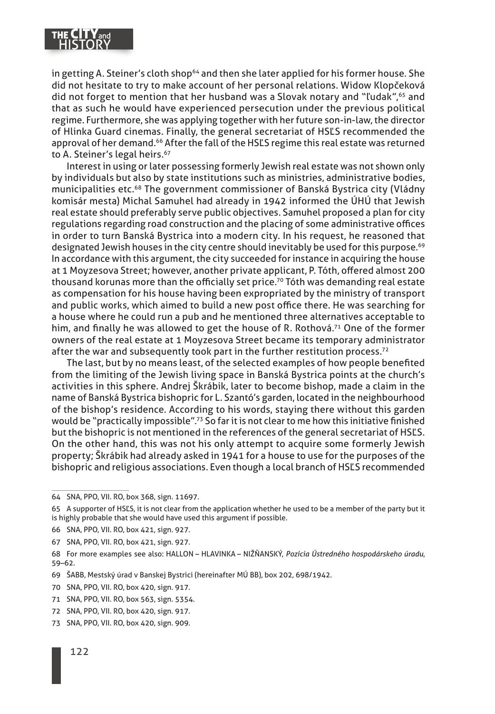

in getting A. Steiner's cloth shop $64$  and then she later applied for his former house. She did not hesitate to try to make account of her personal relations. Widow Klopčeková did not forget to mention that her husband was a Slovak notary and "ľudak",<sup>65</sup> and that as such he would have experienced persecution under the previous political regime. Furthermore, she was applying together with her future son-in-law, the director of Hlinka Guard cinemas. Finally, the general secretariat of HSĽS recommended the approval of her demand.<sup>66</sup> After the fall of the HSLS regime this real estate was returned to A. Steiner's legal heirs.<sup>67</sup>

Interest in using or later possessing formerly Jewish real estate was not shown only by individuals but also by state institutions such as ministries, administrative bodies, municipalities etc.68 The government commissioner of Banská Bystrica city (Vládny komisár mesta) Michal Samuhel had already in 1942 informed the ÚHÚ that Jewish real estate should preferably serve public objectives. Samuhel proposed a plan for city regulations regarding road construction and the placing of some administrative offices in order to turn Banská Bystrica into a modern city. In his request, he reasoned that designated Jewish houses in the city centre should inevitably be used for this purpose.<sup>69</sup> In accordance with this argument, the city succeeded for instance in acquiring the house at 1 Moyzesova Street; however, another private applicant, P. Tóth, offered almost 200 thousand korunas more than the officially set price.<sup>70</sup> Tóth was demanding real estate as compensation for his house having been expropriated by the ministry of transport and public works, which aimed to build a new post office there. He was searching for a house where he could run a pub and he mentioned three alternatives acceptable to him, and finally he was allowed to get the house of R. Rothová.<sup>71</sup> One of the former owners of the real estate at 1 Moyzesova Street became its temporary administrator after the war and subsequently took part in the further restitution process.<sup>72</sup>

The last, but by no means least, of the selected examples of how people benefited from the limiting of the Jewish living space in Banská Bystrica points at the church's activities in this sphere. Andrej Škrábik, later to become bishop, made a claim in the name of Banská Bystrica bishopric for L. Szantó's garden, located in the neighbourhood of the bishop's residence. According to his words, staying there without this garden would be "practically impossible".<sup>73</sup> So far it is not clear to me how this initiative finished but the bishopric is not mentioned in the references of the general secretariat of HSĽS. On the other hand, this was not his only attempt to acquire some formerly Jewish property; Škrábik had already asked in 1941 for a house to use for the purposes of the bishopric and religious associations. Even though a local branch of HSĽS recommended

67 SNA, PPO, VII. RO, box 421, sign. 927.

- 69 ŠABB, Mestský úrad v Banskej Bystrici (hereinafter MÚ BB), box 202, 698/1942.
- 70 SNA, PPO, VII. RO, box 420, sign. 917.
- 71 SNA, PPO, VII. RO, box 563, sign. 5354.
- 72 SNA, PPO, VII. RO, box 420, sign. 917.
- 73 SNA, PPO, VII. RO, box 420, sign. 909.

<sup>64</sup> SNA, PPO, VII. RO, box 368, sign. 11697.

<sup>65</sup> A supporter of HSĽS, it is not clear from the application whether he used to be a member of the party but it is highly probable that she would have used this argument if possible.

<sup>66</sup> SNA, PPO, VII. RO, box 421, sign. 927.

<sup>68</sup> For more examples see also: HALLON – HLAVINKA – NIŽŇANSKÝ, *Pozícia Ústredného hospodárskeho úradu*, 59–62.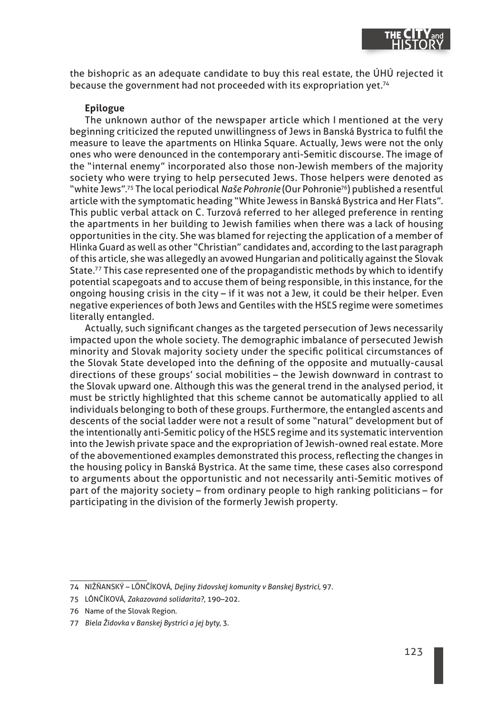

the bishopric as an adequate candidate to buy this real estate, the ÚHÚ rejected it because the government had not proceeded with its expropriation yet.74

### **Epilogue**

The unknown author of the newspaper article which I mentioned at the very beginning criticized the reputed unwillingness of Jews in Banská Bystrica to fulfi l the measure to leave the apartments on Hlinka Square. Actually, Jews were not the only ones who were denounced in the contemporary anti-Semitic discourse. The image of the "internal enemy" incorporated also those non-Jewish members of the majority society who were trying to help persecuted Jews. Those helpers were denoted as "white Jews".75 The local periodical *Naše Pohronie* (Our Pohronie76) published a resentful article with the symptomatic heading "White Jewess in Banská Bystrica and Her Flats". This public verbal attack on C. Turzová referred to her alleged preference in renting the apartments in her building to Jewish families when there was a lack of housing opportunities in the city. She was blamed for rejecting the application of a member of Hlinka Guard as well as other "Christian" candidates and, according to the last paragraph of this article, she was allegedly an avowed Hungarian and politically against the Slovak State.77 This case represented one of the propagandistic methods by which to identify potential scapegoats and to accuse them of being responsible, in this instance, for the ongoing housing crisis in the city  $-$  if it was not a Jew, it could be their helper. Even negative experiences of both Jews and Gentiles with the HSĽS regime were sometimes literally entangled.

Actually, such significant changes as the targeted persecution of Jews necessarily impacted upon the whole society. The demographic imbalance of persecuted Jewish minority and Slovak majority society under the specific political circumstances of the Slovak State developed into the defining of the opposite and mutually-causal directions of these groups' social mobilities – the Jewish downward in contrast to the Slovak upward one. Although this was the general trend in the analysed period, it must be strictly highlighted that this scheme cannot be automatically applied to all individuals belonging to both of these groups. Furthermore, the entangled ascents and descents of the social ladder were not a result of some "natural" development but of the intentionally anti-Semitic policy of the HSĽS regime and its systematic intervention into the Jewish private space and the expropriation of Jewish-owned real estate. More of the abovementioned examples demonstrated this process, refl ecting the changes in the housing policy in Banská Bystrica. At the same time, these cases also correspond to arguments about the opportunistic and not necessarily anti-Semitic motives of part of the majority society – from ordinary people to high ranking politicians – for participating in the division of the formerly Jewish property.

<sup>74</sup> NIŽŇANSKÝ – LÔNČÍKOVÁ, *Dejiny židovskej komunity v Banskej Bystrici*, 97.

<sup>75</sup> LÔNČÍKOVÁ, *Zakazovaná solidarita?*, 190–202.

<sup>76</sup> Name of the Slovak Region.

<sup>77</sup> *Biela Židovka v Banskej Bystrici a jej byty*, 3.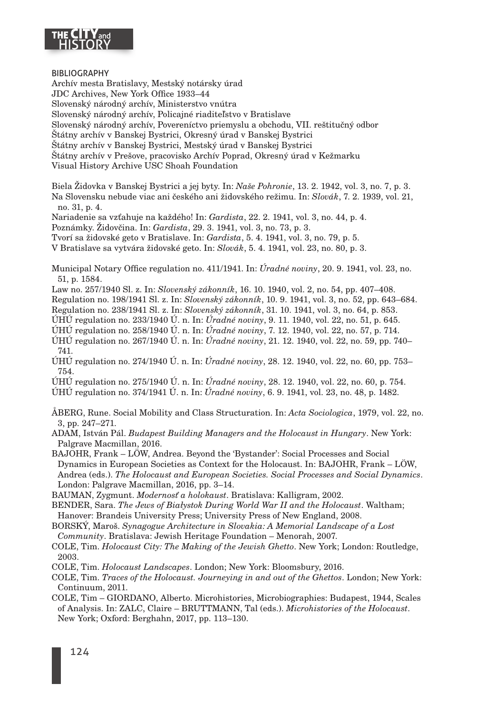

BIBLIOGRAPHY

Archív mesta Bratislavy, Mestský notársky úrad JDC Archives, New York Office 1933-44 Slovenský národný archív, Ministerstvo vnútra Slovenský národný archív, Policajné riaditeľstvo v Bratislave Slovenský národný archív, Povereníctvo priemyslu a obchodu, VII. reštitučný odbor Štátny archív v Banskej Bystrici, Okresný úrad v Banskej Bystrici Štátny archív v Banskej Bystrici, Mestský úrad v Banskej Bystrici Štátny archív v Prešove, pracovisko Archív Poprad, Okresný úrad v Kežmarku Visual History Archive USC Shoah Foundation

Biela Židovka v Banskej Bystrici a jej byty. In: *Naše Pohronie*, 13. 2. 1942, vol. 3, no. 7, p. 3. Na Slovensku nebude viac ani českého ani židovského režimu. In: *Slovák*, 7. 2. 1939, vol. 21, no. 31, p. 4.

Nariadenie sa vzťahuje na každého! In: *Gardista*, 22. 2. 1941, vol. 3, no. 44, p. 4.

Poznámky. Židovčina. In: *Gardista*, 29. 3. 1941, vol. 3, no. 73, p. 3.

Tvorí sa židovské geto v Bratislave. In: *Gardista*, 5. 4. 1941, vol. 3, no. 79, p. 5.

V Bratislave sa vytvára židovské geto. In: *Slovák*, 5. 4. 1941, vol. 23, no. 80, p. 3.

Municipal Notary Office regulation no. 411/1941. In: *Úradné noviny*, 20. 9. 1941, vol. 23, no. 51, p. 1584.

Law no. 257/1940 Sl. z. In: *Slovenský zákonník*, 16. 10. 1940, vol. 2, no. 54, pp. 407–408.

Regulation no. 198/1941 Sl. z. In: *Slovenský zákonník*, 10. 9. 1941, vol. 3, no. 52, pp. 643–684.

Regulation no. 238/1941 Sl. z. In: *Slovenský zákonník*, 31. 10. 1941, vol. 3, no. 64, p. 853.

ÚHÚ regulation no. 233/1940 Ú. n. In: *Úradné noviny*, 9. 11. 1940, vol. 22, no. 51, p. 645.

ÚHÚ regulation no. 258/1940 Ú. n. In: *Úradné noviny*, 7. 12. 1940, vol. 22, no. 57, p. 714.

ÚHÚ regulation no. 267/1940 Ú. n. In: *Úradné noviny*, 21. 12. 1940, vol. 22, no. 59, pp. 740– 741.

ÚHÚ regulation no. 274/1940 Ú. n. In: *Úradné noviny*, 28. 12. 1940, vol. 22, no. 60, pp. 753– 754.

ÚHÚ regulation no. 275/1940 Ú. n. In: *Úradné noviny*, 28. 12. 1940, vol. 22, no. 60, p. 754. ÚHÚ regulation no. 374/1941 Ú. n. In: *Úradné noviny*, 6. 9. 1941, vol. 23, no. 48, p. 1482.

ÅBERG, Rune. Social Mobility and Class Structuration. In: *Acta Sociologica*, 1979, vol. 22, no. 3, pp. 247–271.

ADAM, István Pál. *Budapest Building Managers and the Holocaust in Hungary*. New York: Palgrave Macmillan, 2016.

BAJOHR, Frank – LÖW, Andrea. Beyond the 'Bystander': Social Processes and Social Dynamics in European Societies as Context for the Holocaust. In: BAJOHR, Frank – LÖW, Andrea (eds.). *The Holocaust and European Societies. Social Processes and Social Dynamics*. London: Palgrave Macmillan, 2016, pp. 3–14.

BAUMAN, Zygmunt. *Modernosť a holokaust*. Bratislava: Kalligram, 2002.

BENDER, Sara. *The Jews of Białystok During World War II and the Holocaust*. Waltham; Hanover: Brandeis University Press; University Press of New England, 2008.

BORSKÝ, Maroš. *Synagogue Architecture in Slovakia: A Memorial Landscape of a Lost Community*. Bratislava: Jewish Heritage Foundation – Menorah, 2007.

COLE, Tim. *Holocaust City: The Making of the Jewish Ghetto*. New York; London: Routledge, 2003.

COLE, Tim. *Holocaust Landscapes*. London; New York: Bloomsbury, 2016.

COLE, Tim. *Traces of the Holocaust. Journeying in and out of the Ghettos*. London; New York: Continuum, 2011.

COLE, Tim – GIORDANO, Alberto. Microhistories, Microbiographies: Budapest, 1944, Scales of Analysis. In: ZALC, Claire – BRUTTMANN, Tal (eds.). *Microhistories of the Holocaust*. New York; Oxford: Berghahn, 2017, pp. 113–130.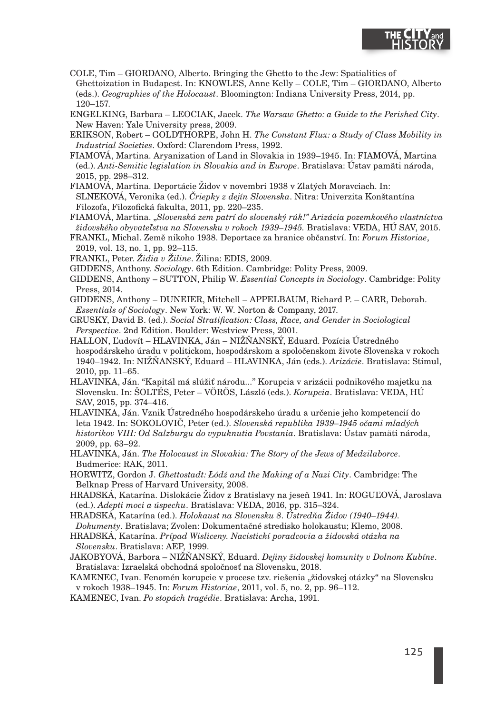

- COLE, Tim GIORDANO, Alberto. Bringing the Ghetto to the Jew: Spatialities of Ghettoization in Budapest. In: KNOWLES, Anne Kelly – COLE, Tim – GIORDANO, Alberto (eds.). *Geographies of the Holocaust*. Bloomington: Indiana University Press, 2014, pp. 120–157.
- ENGELKING, Barbara LEOCIAK, Jacek. *The Warsaw Ghetto: a Guide to the Perished City*. New Haven: Yale University press, 2009.

ERIKSON, Robert – GOLDTHORPE, John H. *The Constant Flux: a Study of Class Mobility in Industrial Societies*. Oxford: Clarendom Press, 1992.

- FIAMOVÁ, Martina. Aryanization of Land in Slovakia in 1939–1945. In: FIAMOVÁ, Martina (ed.). *Anti-Semitic legislation in Slovakia and in Europe*. Bratislava: Ústav pamäti národa, 2015, pp. 298–312.
- FIAMOVÁ, Martina. Deportácie Židov v novembri 1938 v Zlatých Moravciach. In: SLNEKOVÁ, Veronika (ed.). *Čriepky z dejín Slovenska*. Nitra: Univerzita Konštantína Filozofa, Filozofická fakulta, 2011, pp. 220–235.
- FIAMOVÁ, Martina. "*Slovenská zem patrí do slovenský rúk!" Arizácia pozemkového vlastníctva židovského obyvateľstva na Slovensku v rokoch 1939–1945.* Bratislava: VEDA, HÚ SAV, 2015.
- FRANKL, Michal. Země nikoho 1938. Deportace za hranice občanství. In: *Forum Historiae*, 2019, vol. 13, no. 1, pp. 92–115.
- FRANKL, Peter. *Židia v Žiline*. Žilina: EDIS, 2009.
- GIDDENS, Anthony. *Sociology*. 6th Edition. Cambridge: Polity Press, 2009.
- GIDDENS, Anthony SUTTON, Philip W. *Essential Concepts in Sociology*. Cambridge: Polity Press, 2014.
- GIDDENS, Anthony DUNEIER, Mitchell APPELBAUM, Richard P. CARR, Deborah. *Essentials of Sociology*. New York: W. W. Norton & Company, 2017.
- GRUSKY, David B. (ed.). *Social Stratification: Class, Race, and Gender in Sociological Perspective*. 2nd Edition. Boulder: Westview Press, 2001.
- HALLON, Ľudovít HLAVINKA, Ján NIŽŇANSKÝ, Eduard. Pozícia Ústredného hospodárskeho úradu v politickom, hospodárskom a spoločenskom živote Slovenska v rokoch 1940–1942. In: NIŽŇANSKÝ, Eduard – HLAVINKA, Ján (eds.). *Arizácie*. Bratislava: Stimul, 2010, pp. 11–65.
- HLAVINKA, Ján. "Kapitál má slúžiť národu..." Korupcia v arizácii podnikového majetku na Slovensku. In: ŠOLTÉS, Peter – VÖRÖS, László (eds.). *Korupcia*. Bratislava: VEDA, HÚ SAV, 2015, pp. 374–416.
- HLAVINKA, Ján. Vznik Ústredného hospodárskeho úradu a určenie jeho kompetencií do leta 1942. In: SOKOLOVIČ, Peter (ed.). *Slovenská republika 1939–1945 očami mladých historikov VIII: Od Salzburgu do vypuknutia Povstania*. Bratislava: Ústav pamäti národa, 2009, pp. 63–92.
- HLAVINKA, Ján. *The Holocaust in Slovakia: The Story of the Jews of Medzilaborce*. Budmerice: RAK, 2011.
- HORWITZ, Gordon J. *Ghettostadt: Łódź and the Making of a Nazi City*. Cambridge: The Belknap Press of Harvard University, 2008.
- HRADSKÁ, Katarína. Dislokácie Židov z Bratislavy na jeseň 1941. In: ROGUĽOVÁ, Jaroslava (ed.). *Adepti moci a úspechu*. Bratislava: VEDA, 2016, pp. 315–324.
- HRADSKÁ, Katarína (ed.). *Holokaust na Slovensku 8*. *Ústredňa Židov (1940–1944).*
- *Dokumenty*. Bratislava; Zvolen: Dokumentačné stredisko holokaustu; Klemo, 2008. HRADSKÁ, Katarína. *Prípad Wisliceny. Nacistickí poradcovia a židovská otázka na*
- *Slovensku*. Bratislava: AEP, 1999.
- JAKOBYOVÁ, Barbora NIŽŇANSKÝ, Eduard. *Dejiny židovskej komunity v Dolnom Kubíne*. Bratislava: Izraelská obchodná spoločnosť na Slovensku, 2018.
- KAMENEC, Ivan. Fenomén korupcie v procese tzv. riešenia "židovskej otázky" na Slovensku v rokoch 1938–1945. In: *Forum Historiae*, 2011, vol. 5, no. 2, pp. 96–112.
- KAMENEC, Ivan. *Po stopách tragédie*. Bratislava: Archa, 1991.